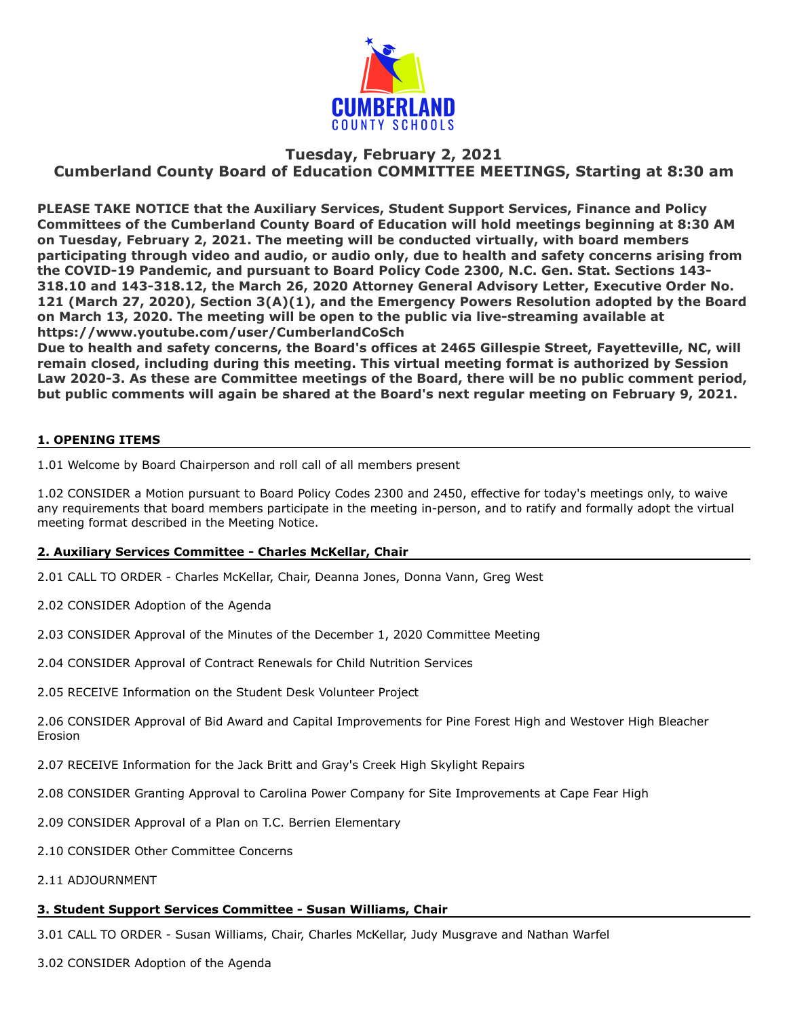

# **Tuesday, February 2, 2021 Cumberland County Board of Education COMMITTEE MEETINGS, Starting at 8:30 am**

**PLEASE TAKE NOTICE that the Auxiliary Services, Student Support Services, Finance and Policy Committees of the Cumberland County Board of Education will hold meetings beginning at 8:30 AM on Tuesday, February 2, 2021. The meeting will be conducted virtually, with board members participating through video and audio, or audio only, due to health and safety concerns arising from the COVID-19 Pandemic, and pursuant to Board Policy Code 2300, N.C. Gen. Stat. Sections 143- 318.10 and 143-318.12, the March 26, 2020 Attorney General Advisory Letter, Executive Order No. 121 (March 27, 2020), Section 3(A)(1), and the Emergency Powers Resolution adopted by the Board on March 13, 2020. The meeting will be open to the public via live-streaming available at https://www.youtube.com/user/CumberlandCoSch** 

**Due to health and safety concerns, the Board's offices at 2465 Gillespie Street, Fayetteville, NC, will remain closed, including during this meeting. This virtual meeting format is authorized by Session Law 2020-3. As these are Committee meetings of the Board, there will be no public comment period, but public comments will again be shared at the Board's next regular meeting on February 9, 2021.**

## **1. OPENING ITEMS**

1.01 Welcome by Board Chairperson and roll call of all members present

1.02 CONSIDER a Motion pursuant to Board Policy Codes 2300 and 2450, effective for today's meetings only, to waive any requirements that board members participate in the meeting in-person, and to ratify and formally adopt the virtual meeting format described in the Meeting Notice.

# **2. Auxiliary Services Committee - Charles McKellar, Chair**

2.01 CALL TO ORDER - Charles McKellar, Chair, Deanna Jones, Donna Vann, Greg West

2.02 CONSIDER Adoption of the Agenda

2.03 CONSIDER Approval of the Minutes of the December 1, 2020 Committee Meeting

2.04 CONSIDER Approval of Contract Renewals for Child Nutrition Services

2.05 RECEIVE Information on the Student Desk Volunteer Project

2.06 CONSIDER Approval of Bid Award and Capital Improvements for Pine Forest High and Westover High Bleacher Erosion

2.07 RECEIVE Information for the Jack Britt and Gray's Creek High Skylight Repairs

2.08 CONSIDER Granting Approval to Carolina Power Company for Site Improvements at Cape Fear High

2.09 CONSIDER Approval of a Plan on T.C. Berrien Elementary

2.10 CONSIDER Other Committee Concerns

2.11 ADJOURNMENT

#### **3. Student Support Services Committee - Susan Williams, Chair**

3.01 CALL TO ORDER - Susan Williams, Chair, Charles McKellar, Judy Musgrave and Nathan Warfel

3.02 CONSIDER Adoption of the Agenda